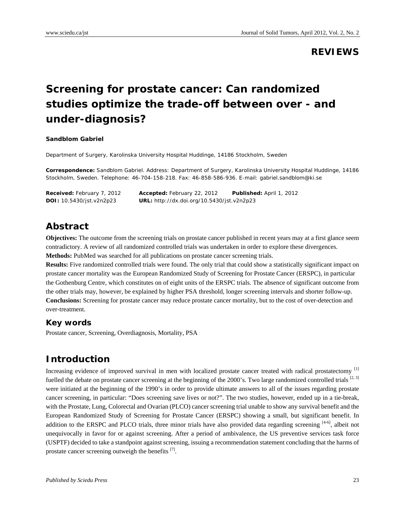# **REVIEWS**

# **Screening for prostate cancer: Can randomized studies optimize the trade-off between over - and under-diagnosis?**

#### **Sandblom Gabriel**

Department of Surgery, Karolinska University Hospital Huddinge, 14186 Stockholm, Sweden

**Correspondence:** Sandblom Gabriel. Address: Department of Surgery, Karolinska University Hospital Huddinge, 14186 Stockholm, Sweden. Telephone: 46-704-158-218. Fax: 46-858-586-936. E-mail: gabriel.sandblom@ki.se

| <b>Received:</b> February 7, 2012 | <b>Accepted:</b> February 22, 2012                | Published: April 1, 2012 |
|-----------------------------------|---------------------------------------------------|--------------------------|
| <b>DOI:</b> 10.5430/jst.v2n2p23   | <b>URL:</b> http://dx.doi.org/10.5430/jst.v2n2p23 |                          |

# **Abstract**

**Objectives:** The outcome from the screening trials on prostate cancer published in recent years may at a first glance seem contradictory. A review of all randomized controlled trials was undertaken in order to explore these divergences. **Methods:** PubMed was searched for all publications on prostate cancer screening trials.

**Results:** Five randomized controlled trials were found. The only trial that could show a statistically significant impact on prostate cancer mortality was the European Randomized Study of Screening for Prostate Cancer (ERSPC), in particular the Gothenburg Centre, which constitutes on of eight units of the ERSPC trials. The absence of significant outcome from the other trials may, however, be explained by higher PSA threshold, longer screening intervals and shorter follow-up. **Conclusions:** Screening for prostate cancer may reduce prostate cancer mortality, but to the cost of over-detection and over-treatment.

#### **Key words**

Prostate cancer, Screening, Overdiagnosis, Mortality, PSA

# **Introduction**

Increasing evidence of improved survival in men with localized prostate cancer treated with radical prostatectomy [1] fuelled the debate on prostate cancer screening at the beginning of the 2000's. Two large randomized controlled trials [2, 3] were initiated at the beginning of the 1990's in order to provide ultimate answers to all of the issues regarding prostate cancer screening, in particular: "Does screening save lives or not?". The two studies, however, ended up in a tie-break, with the Prostate, Lung, Colorectal and Ovarian (PLCO) cancer screening trial unable to show any survival benefit and the European Randomized Study of Screening for Prostate Cancer (ERSPC) showing a small, but significant benefit. In addition to the ERSPC and PLCO trials, three minor trials have also provided data regarding screening  $[4-6]$ , albeit not unequivocally in favor for or against screening. After a period of ambivalence, the US preventive services task force (USPTF) decided to take a standpoint against screening, issuing a recommendation statement concluding that the harms of prostate cancer screening outweigh the benefits [7].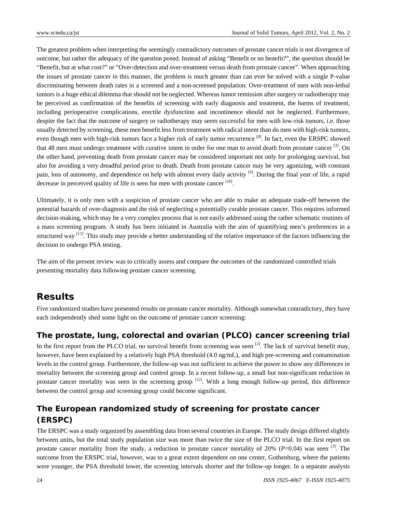The greatest problem when interpreting the seemingly contradictory outcomes of prostate cancer trials is not divergence of outcome, but rather the adequacy of the question posed. Instead of asking "Benefit or no benefit?", the question should be "Benefit, but at what cost?" or "Over-detection and over-treatment versus death from prostate cancer". When approaching the issues of prostate cancer in this manner, the problem is much greater than can ever be solved with a single P-value discriminating between death rates in a screened and a non-screened population. Over-treatment of men with non-lethal tumors is a huge ethical dilemma that should not be neglected. Whereas tumor remission after surgery or radiotherapy may be perceived as confirmation of the benefits of screening with early diagnosis and treatment, the harms of treatment, including perioperative complications, erectile dysfunction and incontinence should not be neglected. Furthermore, despite the fact that the outcome of surgery or radiotherapy may seem successful for men with low-risk tumors, i.e. those usually detected by screening, these men benefit less from treatment with radical intent than do men with high-risk tumors, even though men with high-risk tumors face a higher risk of early tumor recurrence [8]. In fact, even the ERSPC showed that 48 men must undergo treatment with curative intent in order for one man to avoid death from prostate cancer <sup>[3]</sup>. On the other hand, preventing death from prostate cancer may be considered important not only for prolonging survival, but also for avoiding a very dreadful period prior to death. Death from prostate cancer may be very agonizing, with constant pain, loss of autonomy, and dependence on help with almost every daily activity <sup>[9]</sup>. During the final year of life, a rapid decrease in perceived quality of life is seen for men with prostate cancer [10].

Ultimately, it is only men with a suspicion of prostate cancer who are able to make an adequate trade-off between the potential hazards of over-diagnosis and the risk of neglecting a potentially curable prostate cancer. This requires informed decision-making, which may be a very complex process that is not easily addressed using the rather schematic routines of a mass screening program. A study has been initiated in Australia with the aim of quantifying men's preferences in a structured way <sup>[11]</sup>. This study may provide a better understanding of the relative importance of the factors influencing the decision to undergo PSA testing.

The aim of the present review was to critically assess and compare the outcomes of the randomized controlled trials presenting mortality data following prostate cancer screening.

# **Results**

Five randomized studies have presented results on prostate cancer mortality. Although somewhat contradictory, they have each independently shed some light on the outcome of prostate cancer screening:

#### **The prostate, lung, colorectal and ovarian (PLCO) cancer screening trial**

In the first report from the PLCO trial, no survival benefit from screening was seen  $[2]$ . The lack of survival benefit may, however, have been explained by a relatively high PSA threshold (4.0 ng/mL), and high pre-screening and contamination levels in the control group. Furthermore, the follow-up was not sufficient to achieve the power to show any differences in mortality between the screening group and control group. In a recent follow-up, a small but non-significant reduction in prostate cancer mortality was seen in the screening group  $^{[12]}$ . With a long enough follow-up period, this difference between the control group and screening group could become significant.

# **The European randomized study of screening for prostate cancer (ERSPC)**

The ERSPC was a study organized by assembling data from several countries in Europe. The study design differed slightly between units, but the total study population size was more than twice the size of the PLCO trial. In the first report on prostate cancer mortality from the study, a reduction in prostate cancer mortality of  $20\%$  ( $P=0.04$ ) was seen [3]. The outcome from the ERSPC trial, however, was to a great extent dependent on one center, Gothenburg, where the patients were younger, the PSA threshold lower, the screening intervals shorter and the follow-up longer. In a separate analysis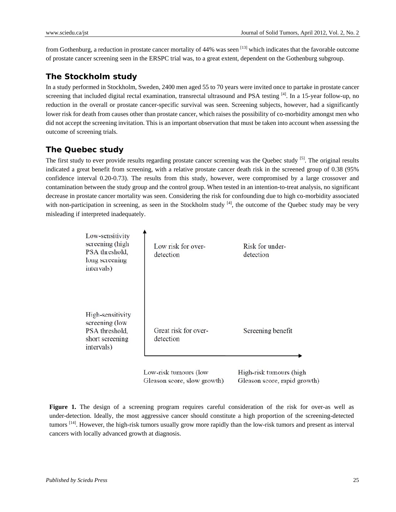from Gothenburg, a reduction in prostate cancer mortality of  $44\%$  was seen <sup>[13]</sup> which indicates that the favorable outcome of prostate cancer screening seen in the ERSPC trial was, to a great extent, dependent on the Gothenburg subgroup.

### **The Stockholm study**

In a study performed in Stockholm, Sweden, 2400 men aged 55 to 70 years were invited once to partake in prostate cancer screening that included digital rectal examination, transrectal ultrasound and PSA testing  $^{[4]}$ . In a 15-year follow-up, no reduction in the overall or prostate cancer-specific survival was seen. Screening subjects, however, had a significantly lower risk for death from causes other than prostate cancer, which raises the possibility of co-morbidity amongst men who did not accept the screening invitation. This is an important observation that must be taken into account when assessing the outcome of screening trials.

## **The Quebec study**

The first study to ever provide results regarding prostate cancer screening was the Quebec study <sup>[5]</sup>. The original results indicated a great benefit from screening, with a relative prostate cancer death risk in the screened group of 0.38 (95% confidence interval 0.20-0.73). The results from this study, however, were compromised by a large crossover and contamination between the study group and the control group. When tested in an intention-to-treat analysis, no significant decrease in prostate cancer mortality was seen. Considering the risk for confounding due to high co-morbidity associated with non-participation in screening, as seen in the Stockholm study  $[4]$ , the outcome of the Quebec study may be very misleading if interpreted inadequately.

| Low-sensitivity<br>screening (high<br>PSA threshold,<br>long screening<br>intervals)  | Low risk for over-<br>detection                      | Risk for under-<br>detection                            |
|---------------------------------------------------------------------------------------|------------------------------------------------------|---------------------------------------------------------|
| High-sensitivity<br>screening (low<br>PSA threshold,<br>short screening<br>intervals) | Great risk for over-<br>detection                    | Screening benefit                                       |
|                                                                                       | Low-risk tumours (low<br>Gleason score, slow growth) | High-risk tumours (high<br>Gleason score, rapid growth) |

**Figure 1.** The design of a screening program requires careful consideration of the risk for over-as well as under-detection. Ideally, the most aggressive cancer should constitute a high proportion of the screening-detected tumors [14]. However, the high-risk tumors usually grow more rapidly than the low-risk tumors and present as interval cancers with locally advanced growth at diagnosis.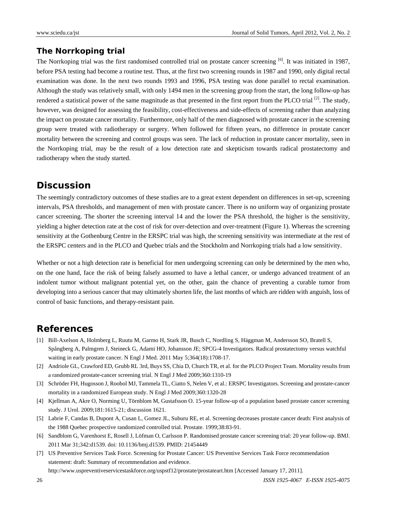#### **The Norrkoping trial**

The Norrkoping trial was the first randomised controlled trial on prostate cancer screening [6]. It was initiated in 1987, before PSA testing had become a routine test. Thus, at the first two screening rounds in 1987 and 1990, only digital rectal examination was done. In the next two rounds 1993 and 1996, PSA testing was done parallel to rectal examination. Although the study was relatively small, with only 1494 men in the screening group from the start, the long follow-up has rendered a statistical power of the same magnitude as that presented in the first report from the PLCO trial <sup>[2]</sup>. The study, however, was designed for assessing the feasibility, cost-effectiveness and side-effects of screening rather than analyzing the impact on prostate cancer mortality. Furthermore, only half of the men diagnosed with prostate cancer in the screening group were treated with radiotherapy or surgery. When followed for fifteen years, no difference in prostate cancer mortality between the screening and control groups was seen. The lack of reduction in prostate cancer mortality, seen in the Norrkoping trial, may be the result of a low detection rate and skepticism towards radical prostatectomy and radiotherapy when the study started.

# **Discussion**

The seemingly contradictory outcomes of these studies are to a great extent dependent on differences in set-up, screening intervals, PSA thresholds, and management of men with prostate cancer. There is no uniform way of organizing prostate cancer screening. The shorter the screening interval 14 and the lower the PSA threshold, the higher is the sensitivity, yielding a higher detection rate at the cost of risk for over-detection and over-treatment (Figure 1). Whereas the screening sensitivity at the Gothenburg Centre in the ERSPC trial was high, the screening sensitivity was intermediate at the rest of the ERSPC centers and in the PLCO and Quebec trials and the Stockholm and Norrkoping trials had a low sensitivity.

Whether or not a high detection rate is beneficial for men undergoing screening can only be determined by the men who, on the one hand, face the risk of being falsely assumed to have a lethal cancer, or undergo advanced treatment of an indolent tumor without malignant potential yet, on the other, gain the chance of preventing a curable tumor from developing into a serious cancer that may ultimately shorten life, the last months of which are ridden with anguish, loss of control of basic functions, and therapy-resistant pain.

# **References**

- [1] Bill-Axelson A, Holmberg L, Ruutu M, Garmo H, Stark JR, Busch C, Nordling S, Häggman M, Andersson SO, Bratell S, Spångberg A, Palmgren J, Steineck G, Adami HO, Johansson JE; SPCG-4 Investigators. Radical prostatectomy versus watchful waiting in early prostate cancer. N Engl J Med. 2011 May 5;364(18):1708-17.
- [2] Andriole GL, Crawford ED, Grubb RL 3rd, Buys SS, Chia D, Church TR, et al. for the PLCO Project Team. Mortality results from a randomized prostate-cancer screening trial. N Engl J Med 2009;360:1310-19
- [3] Schröder FH, Hugosson J, Roobol MJ, Tammela TL, Ciatto S, Nelen V, et al.: ERSPC Investigators. Screening and prostate-cancer mortality in a randomized European study. N Engl J Med 2009;360:1320-28
- [4] Kjellman A, Akre O, Norming U, Törnblom M, Gustafsson O. 15-year follow-up of a population based prostate cancer screening study. J Urol. 2009;181:1615-21; discussion 1621.
- [5] Labrie F, Candas B, Dupont A, Cusan L, Gomez JL, Suburu RE, et al. Screening decreases prostate cancer death: First analysis of the 1988 Quebec prospective randomized controlled trial. Prostate. 1999;38:83-91.
- [6] Sandblom G, Varenhorst E, Rosell J, Löfman O, Carlsson P. Randomised prostate cancer screening trial: 20 year follow-up. BMJ. 2011 Mar 31;342:d1539. doi: 10.1136/bmj.d1539. PMID: 21454449
- [7] US Preventive Services Task Force. Screening for Prostate Cancer: US Preventive Services Task Force recommendation statement: draft: Summary of recommendation and evidence. http://www.uspreventiveservicestaskforce.org/uspstf12/prostate/prostateart.htm [Accessed January 17, 2011].